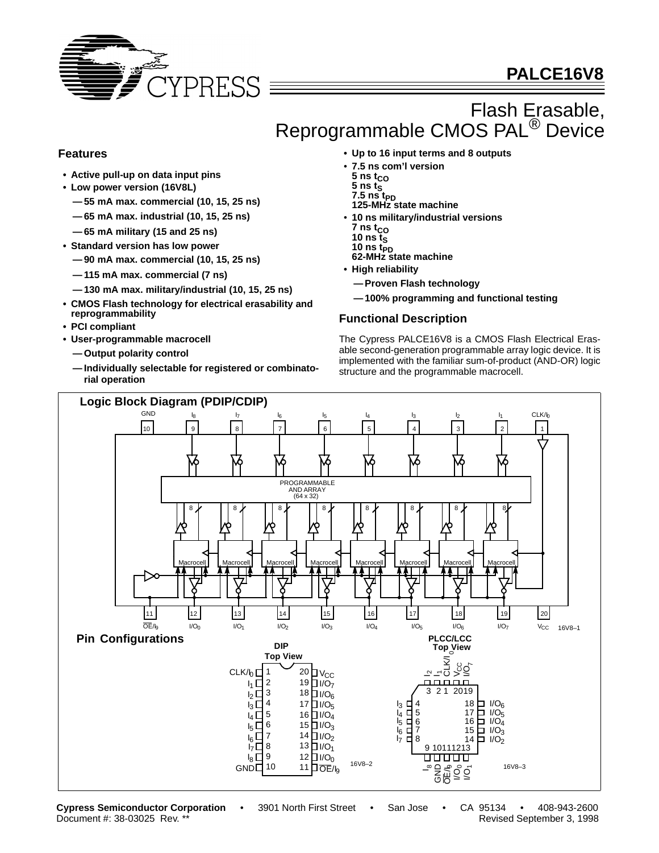

# **PALCE16V8**

# Flash Erasable, Reprogrammable CMOS PAL<sup>®</sup> Device

## **Features**

- **Active pull-up on data input pins**
- **Low power version (16V8L)**
	- **55 mA max. commercial (10, 15, 25 ns)**
	- **65 mA max. industrial (10, 15, 25 ns)**
	- **65 mA military (15 and 25 ns)**
- **Standard version has low power**
	- **90 mA max. commercial (10, 15, 25 ns)**
	- **115 mA max. commercial (7 ns)**
	- **130 mA max. military/industrial (10, 15, 25 ns)**
- **CMOS Flash technology for electrical erasability and reprogrammability**
- **PCI compliant**
- **User-programmable macrocell**
	- **Output polarity control**
	- **Individually selectable for registered or combinatorial operation**
- **Up to 16 input terms and 8 outputs**
- **7.5 ns com'l version**
- $5$  ns  $t_{CO}$
- $\overline{5}$  ns t<sub>S</sub>
- $7.5$  ns  $t_{PD}$ **125-MHz state machine**
- **10 ns military/industrial versions**  $7$  ns  $t_{CO}$
- **10 ns ts**
- 10 ns t<sub>PD</sub><br>62-MHz state machine
- **• High reliability**
	- **—Proven Flash technology**
	- **—100% programming and functional testing**

#### **Functional Description**

The Cypress PALCE16V8 is a CMOS Flash Electrical Erasable second-generation programmable array logic device. It is implemented with the familiar sum-of-product (AND-OR) logic structure and the programmable macrocell.



**Cypress Semiconductor Corporation** • 3901 North First Street • San Jose • CA 95134 • 408-943-2600

Document #: 38-03025 Rev. \*\* Revised September 3, 1998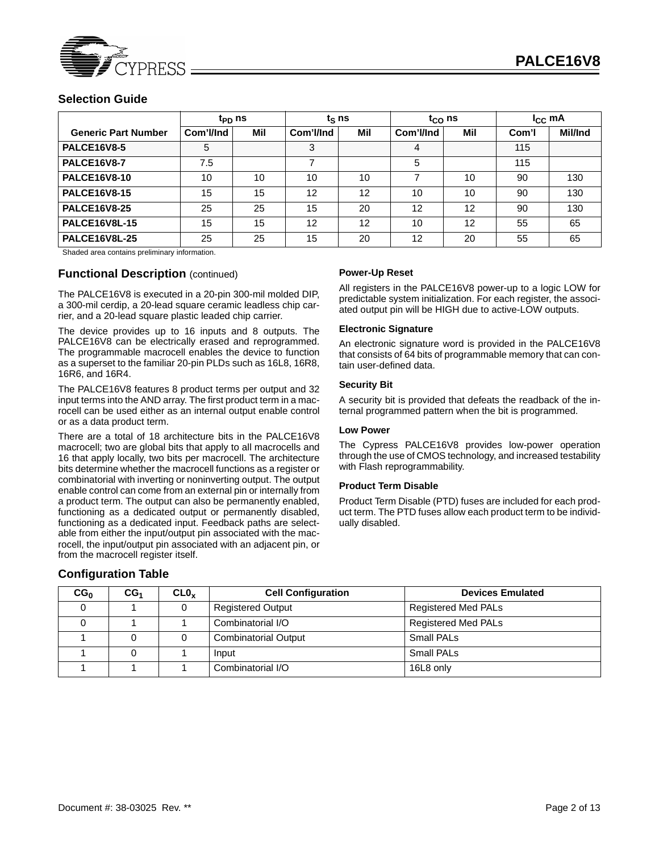

### **Selection Guide**

|                            | t <sub>PD</sub> ns |     |                          | $t_{\rm S}$ ns |           | $t_{CO}$ ns |       | $I_{\rm CC}$ mA |  |
|----------------------------|--------------------|-----|--------------------------|----------------|-----------|-------------|-------|-----------------|--|
| <b>Generic Part Number</b> | Com'l/Ind          | Mil | Com'l/Ind                | Mil            | Com'l/Ind | Mil         | Com'l | Mil/Ind         |  |
| <b>PALCE16V8-5</b>         | 5                  |     | 3                        |                | 4         |             | 115   |                 |  |
| <b>PALCE16V8-7</b>         | 7.5                |     | $\overline{\phantom{a}}$ |                | 5         |             | 115   |                 |  |
| <b>PALCE16V8-10</b>        | 10                 | 10  | 10                       | 10             |           | 10          | 90    | 130             |  |
| <b>PALCE16V8-15</b>        | 15                 | 15  | 12                       | 12             | 10        | 10          | 90    | 130             |  |
| <b>PALCE16V8-25</b>        | 25                 | 25  | 15                       | 20             | 12        | 12          | 90    | 130             |  |
| <b>PALCE16V8L-15</b>       | 15                 | 15  | 12                       | 12             | 10        | 12          | 55    | 65              |  |
| <b>PALCE16V8L-25</b>       | 25                 | 25  | 15                       | 20             | 12        | 20          | 55    | 65              |  |

Shaded area contains preliminary information.

#### **Functional Description** (continued)

The PALCE16V8 is executed in a 20-pin 300-mil molded DIP, a 300-mil cerdip, a 20-lead square ceramic leadless chip carrier, and a 20-lead square plastic leaded chip carrier.

The device provides up to 16 inputs and 8 outputs. The PALCE16V8 can be electrically erased and reprogrammed. The programmable macrocell enables the device to function as a superset to the familiar 20-pin PLDs such as 16L8, 16R8, 16R6, and 16R4.

The PALCE16V8 features 8 product terms per output and 32 input terms into the AND array. The first product term in a macrocell can be used either as an internal output enable control or as a data product term.

There are a total of 18 architecture bits in the PALCE16V8 macrocell; two are global bits that apply to all macrocells and 16 that apply locally, two bits per macrocell. The architecture bits determine whether the macrocell functions as a register or combinatorial with inverting or noninverting output. The output enable control can come from an external pin or internally from a product term. The output can also be permanently enabled, functioning as a dedicated output or permanently disabled, functioning as a dedicated input. Feedback paths are selectable from either the input/output pin associated with the macrocell, the input/output pin associated with an adjacent pin, or from the macrocell register itself.

#### **Configuration Table**

#### **Power-Up Reset**

All registers in the PALCE16V8 power-up to a logic LOW for predictable system initialization. For each register, the associated output pin will be HIGH due to active-LOW outputs.

#### **Electronic Signature**

An electronic signature word is provided in the PALCE16V8 that consists of 64 bits of programmable memory that can contain user-defined data.

#### **Security Bit**

A security bit is provided that defeats the readback of the internal programmed pattern when the bit is programmed.

#### **Low Power**

The Cypress PALCE16V8 provides low-power operation through the use of CMOS technology, and increased testability with Flash reprogrammability.

#### **Product Term Disable**

Product Term Disable (PTD) fuses are included for each product term. The PTD fuses allow each product term to be individually disabled.

| CG <sub>0</sub> | CG <sub>1</sub> | CL0 <sub>x</sub> | <b>Cell Configuration</b>   | <b>Devices Emulated</b>    |
|-----------------|-----------------|------------------|-----------------------------|----------------------------|
|                 |                 |                  | <b>Registered Output</b>    | <b>Registered Med PALs</b> |
|                 |                 |                  | Combinatorial I/O           | <b>Registered Med PALs</b> |
|                 |                 |                  | <b>Combinatorial Output</b> | Small PAL <sub>S</sub>     |
|                 |                 |                  | Input                       | Small PAL <sub>s</sub>     |
|                 |                 |                  | Combinatorial I/O           | 16L8 only                  |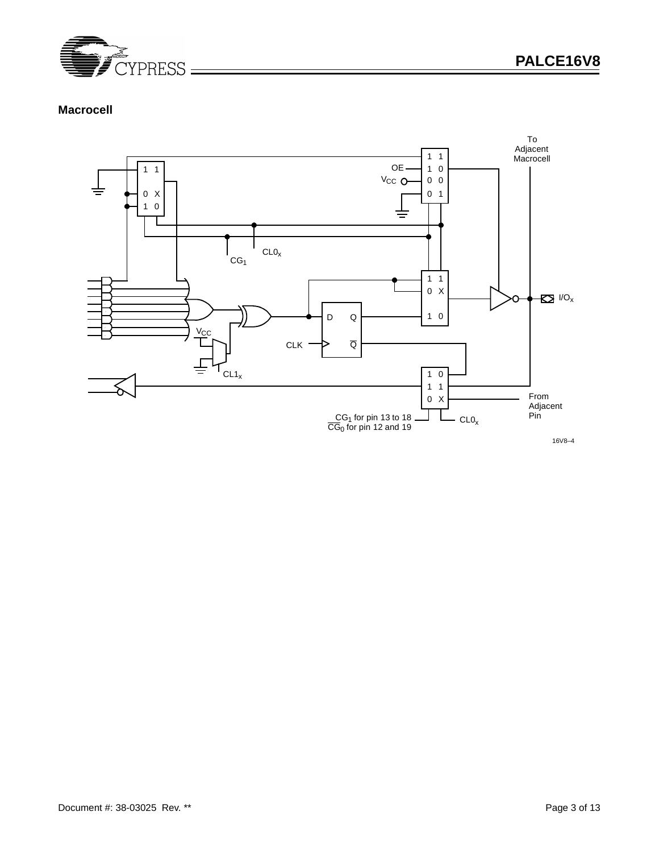

# **Macrocell**



16V8–4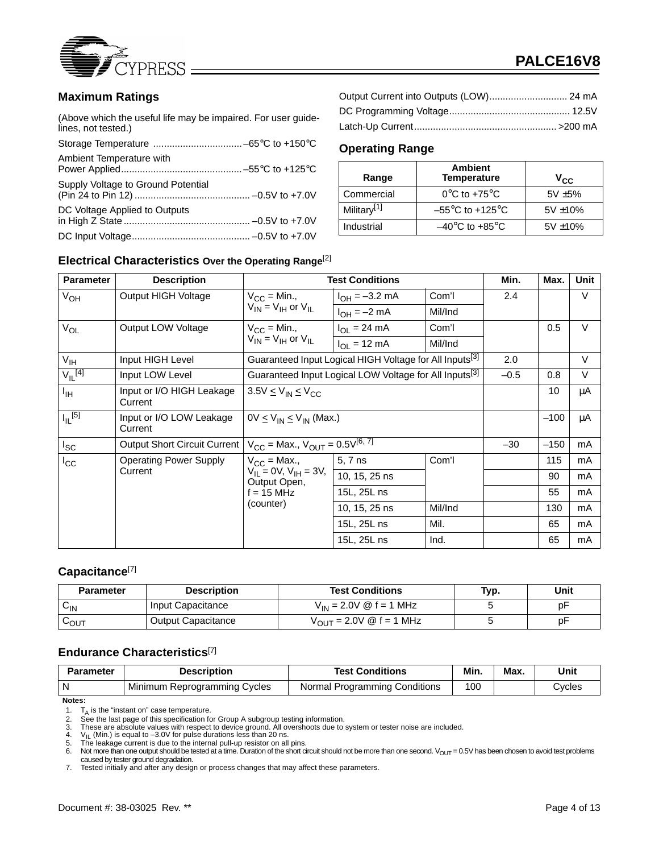

## **Maximum Ratings**

(Above which the useful life may be impaired. For user guidelines, not tested.)

| Ambient Temperature with           |  |
|------------------------------------|--|
| Supply Voltage to Ground Potential |  |
| DC Voltage Applied to Outputs      |  |
|                                    |  |

| Output Current into Outputs (LOW) 24 mA |  |
|-----------------------------------------|--|
|                                         |  |
|                                         |  |

## **Operating Range**

| Range                   | <b>Ambient</b><br><b>Temperature</b> | $V_{\rm CC}$  |
|-------------------------|--------------------------------------|---------------|
| Commercial              | $0^{\circ}$ C to +75 $^{\circ}$ C    | $5V + 5%$     |
| Military <sup>[1]</sup> | $-55^{\circ}$ C to +125 $^{\circ}$ C | $5V \pm 10\%$ |
| Industrial              | $-40^{\circ}$ C to $+85^{\circ}$ C   | $5V \pm 10\%$ |

#### **Electrical Characteristics Over the Operating Range**[2]

| <b>Parameter</b>                 | <b>Description</b>                   |                                                 | <b>Test Conditions</b>                                              |         | Min.   | Max.   | <b>Unit</b> |
|----------------------------------|--------------------------------------|-------------------------------------------------|---------------------------------------------------------------------|---------|--------|--------|-------------|
| V <sub>OH</sub>                  | <b>Output HIGH Voltage</b>           | $V_{CC}$ = Min.,                                | $I_{OH} = -3.2$ mA                                                  | Com'l   | 2.4    |        | V           |
|                                  |                                      | $V_{IN} = V_{IH}$ or $V_{IL}$                   | $I_{OH} = -2$ mA                                                    | Mil/Ind |        |        |             |
| $V_{OL}$                         | <b>Output LOW Voltage</b>            | $V_{CC}$ = Min.,                                | $I_{\text{OI}} = 24 \text{ mA}$                                     | Com'l   |        | 0.5    | $\vee$      |
|                                  |                                      | $V_{IN}$ = $V_{IH}$ or $V_{IL}$                 | $I_{OI}$ = 12 mA                                                    | Mil/Ind |        |        |             |
| $V_{\text{IH}}$                  | Input HIGH Level                     |                                                 | Guaranteed Input Logical HIGH Voltage for All Inputs <sup>[3]</sup> |         | 2.0    |        | $\vee$      |
| $V_{\parallel L}^{[4]}$          | Input LOW Level                      |                                                 | Guaranteed Input Logical LOW Voltage for All Inputs <sup>[3]</sup>  |         | $-0.5$ | 0.8    | $\vee$      |
| Iн                               | Input or I/O HIGH Leakage<br>Current | $3.5V \leq V_{IN} \leq V_{CC}$                  |                                                                     |         | 10     | μA     |             |
| $I_{\parallel L}$ <sup>[5]</sup> | Input or I/O LOW Leakage<br>Current  | $0V \leq V_{IN} \leq V_{IN}$ (Max.)             |                                                                     |         |        | $-100$ | μA          |
| $I_{SC}$                         | Output Short Circuit Current         | $V_{CC}$ = Max., $V_{OUT}$ = 0.5 $V^{[6, 7]}$   |                                                                     |         | $-30$  | $-150$ | mA          |
| $I_{\rm CC}$                     | <b>Operating Power Supply</b>        | $V_{CC}$ = Max.,                                | 5, 7 ns                                                             | Com'l   |        | 115    | mA          |
|                                  | Current                              | $V_{II} = 0V$ , $V_{IH} = 3V$ ,<br>Output Open, | 10, 15, 25 ns                                                       |         |        | 90     | mA          |
|                                  | $f = 15 MHz$                         |                                                 | 15L, 25L ns                                                         |         |        | 55     | mA          |
|                                  |                                      | (counter)                                       | 10, 15, 25 ns                                                       | Mil/Ind |        | 130    | mA          |
|                                  |                                      |                                                 | 15L, 25L ns                                                         | Mil.    |        | 65     | mA          |
|                                  |                                      |                                                 | 15L, 25L ns                                                         | Ind.    |        | 65     | mA          |

#### **Capacitance**[7]

| Parameter | <b>Description</b>        | <b>Test Conditions</b>                                                | Typ. | Unit |
|-----------|---------------------------|-----------------------------------------------------------------------|------|------|
| ∪lN       | Input Capacitance         | $V_{IN} = 2.0 V \circledcirc f = 1 MHz$                               |      | p⊦   |
| LOUT      | <b>Output Capacitance</b> | $V_{\text{OUT}} = 2.0 \text{V} \circledcirc \text{f} = 1 \text{ MHz}$ |      | p⊦   |

### **Endurance Characteristics**[7]

| Parameter | Description                      | <b>Test Conditions</b>        | Min. | Max. | Unit   |
|-----------|----------------------------------|-------------------------------|------|------|--------|
|           | But Minimum Reprogramming Cycles | Normal Programming Conditions | 100  |      | Cvcles |

**Notes:**

1.  $T_A$  is the "instant on" case temperature.

2. See the last page of this specification for Group A subgroup testing information.<br>3. These are absolute values with respect to device ground. All overshoots due to system or tester noise are included.<br>4. V<sub>IL</sub> (Min.) is

5. The leakage current is due to the internal pull-up resistor on all pins.<br>6. Not more than one output should be tested at a time. Duration of the short circuit should not be more than one second. V<sub>OUT</sub> = 0.5V has

caused by tester ground degradation. 7. Tested initially and after any design or process changes that may affect these parameters.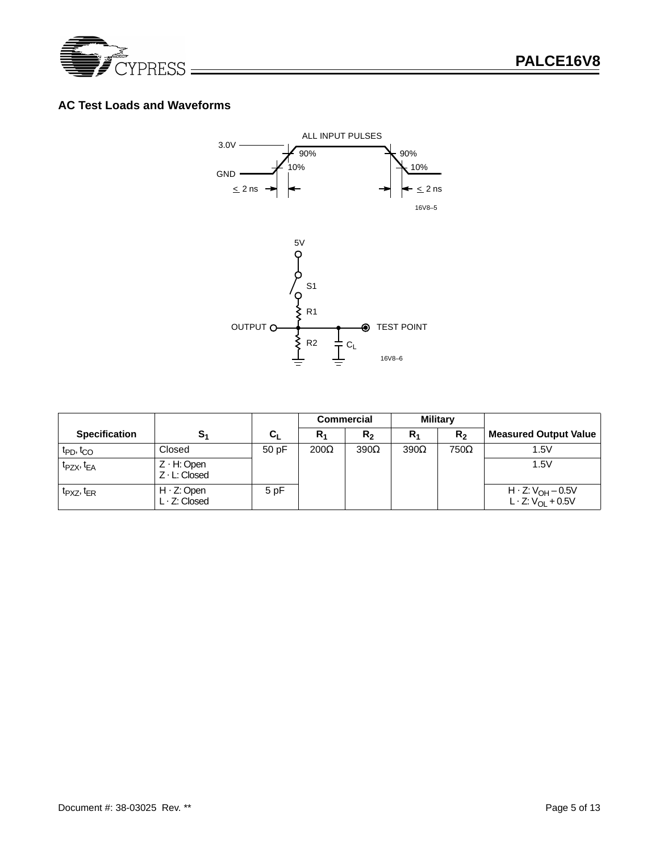

## **AC Test Loads and Waveforms**



|                                   |                                            |         |             | <b>Commercial</b> | <b>Military</b> |                |                                                                |
|-----------------------------------|--------------------------------------------|---------|-------------|-------------------|-----------------|----------------|----------------------------------------------------------------|
| <b>Specification</b>              | S <sub>1</sub>                             | $c_{L}$ | $R_1$       | R <sub>2</sub>    | $R_1$           | R <sub>2</sub> | <b>Measured Output Value</b>                                   |
| t <sub>PD</sub> , t <sub>CO</sub> | Closed                                     | 50 pF   | $200\Omega$ | $390\Omega$       | $390\Omega$     | 750Ω           | 1.5V                                                           |
| $t_{PZX}$ , $t_{EA}$              | $Z \cdot H$ : Open<br>$Z \cdot L$ : Closed |         |             |                   |                 |                | 1.5V                                                           |
| $t_{PXZ}$ , $t_{ER}$              | $H \cdot Z$ : Open<br>$L \cdot Z$ : Closed | 5 pF    |             |                   |                 |                | H · Z: V <sub>OH</sub> – 0.5V<br>L · Z: V <sub>OL</sub> + 0.5V |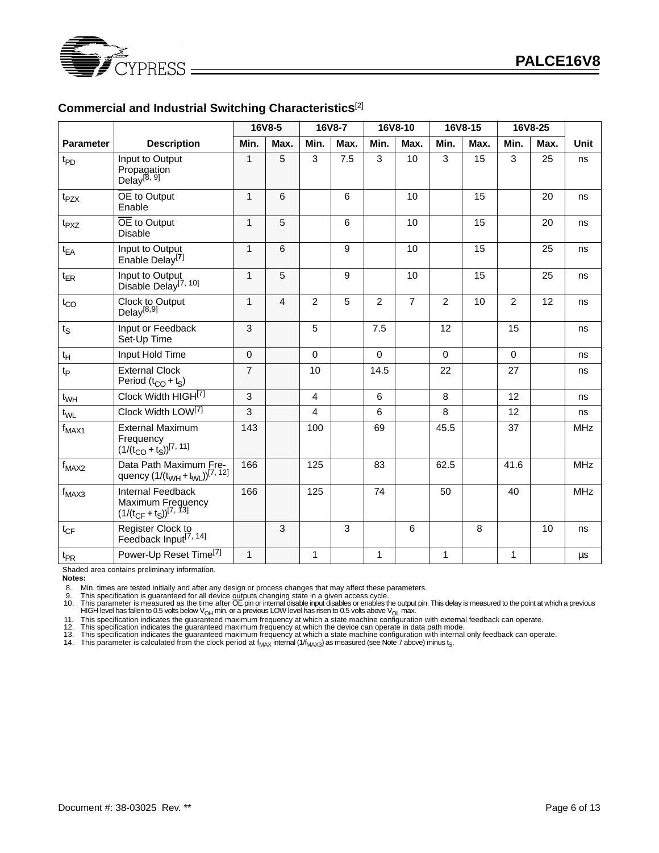

#### **Commercial and Industrial Switching Characteristics**[2]

|                  |                                                                                                 |                | 16V8-5         |                | 16V8-7         |                | 16V8-10        |                | 16V8-15 |              | 16V8-25 |             |
|------------------|-------------------------------------------------------------------------------------------------|----------------|----------------|----------------|----------------|----------------|----------------|----------------|---------|--------------|---------|-------------|
| <b>Parameter</b> | <b>Description</b>                                                                              | Min.           | Max.           | Min.           | Max.           | Min.           | Max.           | Min.           | Max.    | Min.         | Max.    | <b>Unit</b> |
| $t_{PD}$         | Input to Output<br>Propagation<br>Delay <sup>[8, 9]</sup>                                       | $\mathbf{1}$   | 5              | 3              | 7.5            | 3              | 10             | $\overline{3}$ | 15      | 3            | 25      | ns          |
| $t_{PZX}$        | OE to Output<br>Enable                                                                          | $\mathbf{1}$   | 6              |                | 6              |                | 10             |                | 15      |              | 20      | ns          |
| t <sub>PXZ</sub> | OE to Output<br><b>Disable</b>                                                                  | $\mathbf{1}$   | 5              |                | 6              |                | 10             |                | 15      |              | 20      | ns          |
| $t_{EA}$         | Input to Output<br>Enable Delay <sup>[7]</sup>                                                  | $\mathbf{1}$   | 6              |                | 9              |                | 10             |                | 15      |              | 25      | ns          |
| $t_{ER}$         | Input to Output<br>Disable Delay <sup>[7, 10]</sup>                                             | $\mathbf{1}$   | 5              |                | 9              |                | 10             |                | 15      |              | 25      | ns          |
| $t_{CO}$         | Clock to Output<br>Delay <sup>[8,9]</sup>                                                       | $\mathbf{1}$   | $\overline{4}$ | $\overline{2}$ | 5              | $\overline{2}$ | $\overline{7}$ | $\overline{2}$ | 10      | 2            | 12      | ns          |
| $t_S$            | Input or Feedback<br>Set-Up Time                                                                | 3              |                | 5              |                | 7.5            |                | 12             |         | 15           |         | ns          |
| $t_H$            | Input Hold Time                                                                                 | $\mathbf 0$    |                | $\Omega$       |                | $\mathbf 0$    |                | $\Omega$       |         | $\Omega$     |         | ns          |
| $t_{\mathsf{P}}$ | <b>External Clock</b><br>Period $(t_{CO} + t_S)$                                                | $\overline{7}$ |                | 10             |                | 14.5           |                | 22             |         | 27           |         | ns          |
| $t_{WH}$         | Clock Width HIGH[7]                                                                             | $\overline{3}$ |                | $\overline{4}$ |                | 6              |                | 8              |         | 12           |         | ns          |
| $t_{WL}$         | Clock Width LOW <sup>[7]</sup>                                                                  | 3              |                | 4              |                | 6              |                | 8              |         | 12           |         | ns          |
| $f_{MAX1}$       | <b>External Maximum</b><br>Frequency<br>$(1/(t_{CO} + t_S))^{[7, 11]}$                          | 143            |                | 100            |                | 69             |                | 45.5           |         | 37           |         | <b>MHz</b>  |
| $f_{MAX2}$       | Data Path Maximum Fre-<br>quency $(1/(t_{WH} + t_{WL}))^{[7, 12]}$                              | 166            |                | 125            |                | 83             |                | 62.5           |         | 41.6         |         | <b>MHz</b>  |
| $f_{MAX3}$       | <b>Internal Feedback</b><br>Maximum Frequency<br>$(1/(t_{\text{CF}} + t_{\text{S}}))^{[7, 13]}$ | 166            |                | 125            |                | 74             |                | 50             |         | 40           |         | <b>MHz</b>  |
| $t_{CF}$         | Register Clock to<br>Feedback Input <sup>[7, 14]</sup>                                          |                | $\overline{3}$ |                | $\overline{3}$ |                | 6              |                | 8       |              | 10      | ns          |
| $t_{PR}$         | Power-Up Reset Time <sup>[7]</sup>                                                              | $\mathbf{1}$   |                | 1              |                | 1              |                | 1              |         | $\mathbf{1}$ |         | μs          |

Shaded area contains preliminary information.

**Notes:**

8. Min. times are tested initially and after any design or process changes that may affect these parameters.

9. This specification is guaranteed for all device outputs changing state in a given access cycle.<br>10. This parameter is measured as the time after OE pin or internal disable input disables or enables the output pin. This

12. This specification indicates the guaranteed maximum frequency at which the device can operate in data path mode.<br>13. This specification indicates the guaranteed maximum frequency at which a state machine configuration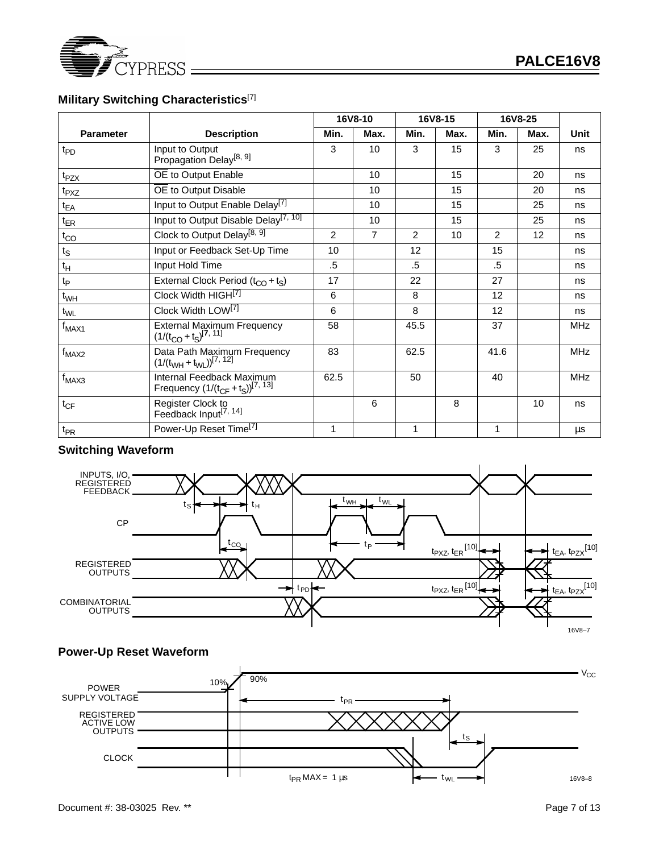

# **Military Switching Characteristics**[7]

|                             |                                                                       |                | 16V8-10        | 16V8-15 |      | 16V8-25        |      |            |
|-----------------------------|-----------------------------------------------------------------------|----------------|----------------|---------|------|----------------|------|------------|
| <b>Parameter</b>            | <b>Description</b>                                                    | Min.           | Max.           | Min.    | Max. | Min.           | Max. | Unit       |
| $t_{PD}$                    | Input to Output<br>Propagation Delay <sup>[8, 9]</sup>                | 3              | 10             | 3       | 15   | 3              | 25   | ns         |
| $t_{PZX}$                   | OE to Output Enable                                                   |                | 10             |         | 15   |                | 20   | ns         |
| t <sub>PXZ</sub>            | OE to Output Disable                                                  |                | 10             |         | 15   |                | 20   | ns         |
| $t_{EA}$                    | Input to Output Enable Delay <sup>[7]</sup>                           |                | 10             |         | 15   |                | 25   | ns         |
| $t_{ER}$                    | Input to Output Disable Delay <sup>[7, 10]</sup>                      |                | 10             |         | 15   |                | 25   | ns         |
| $t_{CO}$                    | Clock to Output Delay <sup>[8, 9]</sup>                               | $\overline{2}$ | $\overline{7}$ | 2       | 10   | $\overline{c}$ | 12   | ns         |
| $t_{\rm S}$                 | Input or Feedback Set-Up Time                                         | 10             |                | 12      |      | 15             |      | ns         |
| $t_H$                       | Input Hold Time                                                       | $.5\,$         |                | .5      |      | $.5\,$         |      | ns         |
| $\mathfrak{t}_{\mathsf{P}}$ | External Clock Period $(t_{CO} + t_S)$                                | 17             |                | 22      |      | 27             |      | ns         |
| $t_{WH}$                    | Clock Width HIGH[7]                                                   | 6              |                | 8       |      | 12             |      | ns         |
| $t_{\text{WL}}$             | Clock Width LOW <sup>[7]</sup>                                        | 6              |                | 8       |      | 12             |      | ns         |
| $f_{MAX1}$                  | External Maximum Frequency<br>$(1/(t_{CO} + t_S)^{[7, 11]}$           | 58             |                | 45.5    |      | 37             |      | MHz        |
| $f_{MAX2}$                  | Data Path Maximum Frequency $(1/(t_{WH} + t_{WL}))^{[7, 12]}$         | 83             |                | 62.5    |      | 41.6           |      | <b>MHz</b> |
| $f_{MAX3}$                  | Internal Feedback Maximum<br>Frequency $(1/(t_{CF} + t_S))^{[7, 13]}$ | 62.5           |                | 50      |      | 40             |      | <b>MHz</b> |
| $t_{CF}$                    | Register Clock to<br>Feedback Input <sup>[7, 14]</sup>                |                | 6              |         | 8    |                | 10   | ns         |
| $t_{PR}$                    | Power-Up Reset Time <sup>[7]</sup>                                    | 1              |                | 1       |      | 1              |      | μs         |

#### **Switching Waveform**





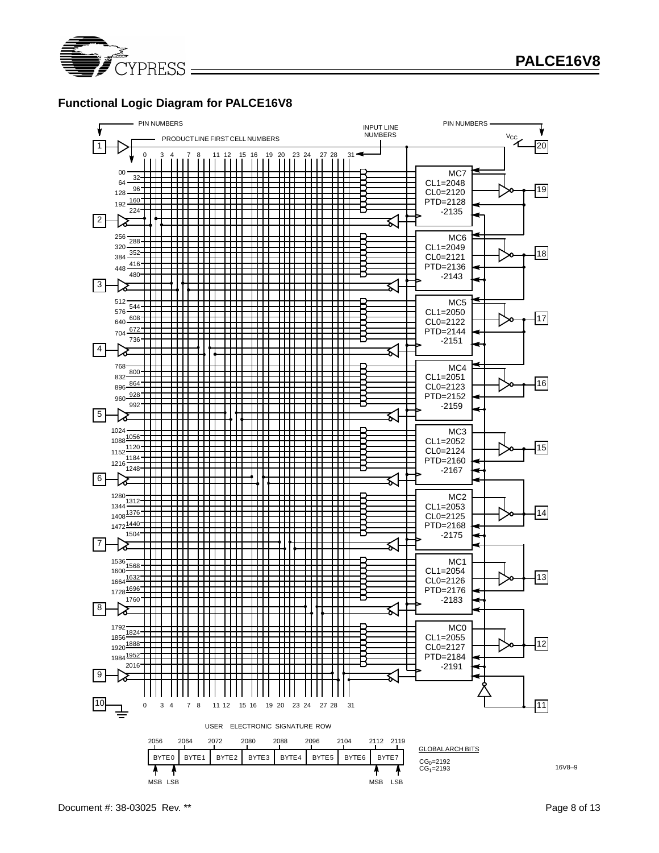

## **Functional Logic Diagram for PALCE16V8**

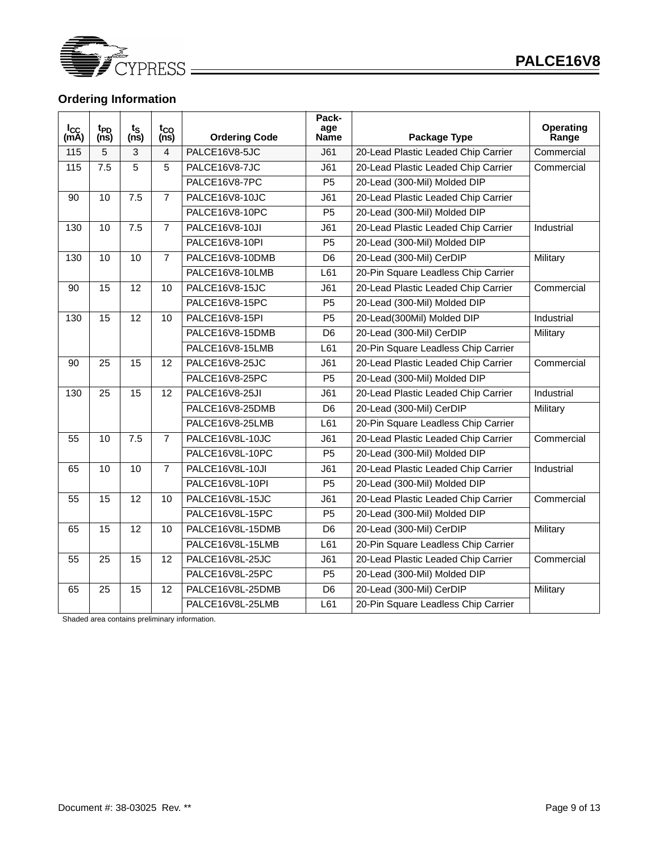

# **Ordering Information**

| l <sub>CC</sub><br>(mA) | t <sub>PD</sub><br>(ns) | $t_{\rm S}$<br>$(n\bar{s})$ | t <sub>co</sub><br>$(n\tilde{s})$ | <b>Ordering Code</b> | Pack-<br>age<br>Name | Package Type                        | Operating<br>Range |
|-------------------------|-------------------------|-----------------------------|-----------------------------------|----------------------|----------------------|-------------------------------------|--------------------|
| 115                     | 5                       | 3                           | 4                                 | PALCE16V8-5JC        | J61                  | 20-Lead Plastic Leaded Chip Carrier | Commercial         |
| 115                     | 7.5                     | 5                           | 5                                 | PALCE16V8-7JC        | J61                  | 20-Lead Plastic Leaded Chip Carrier | Commercial         |
|                         |                         |                             |                                   | PALCE16V8-7PC        | P <sub>5</sub>       | 20-Lead (300-Mil) Molded DIP        |                    |
| 90                      | $\overline{10}$         | $\overline{7.5}$            | $\overline{7}$                    | PALCE16V8-10JC       | J61                  | 20-Lead Plastic Leaded Chip Carrier |                    |
|                         |                         |                             |                                   | PALCE16V8-10PC       | P <sub>5</sub>       | 20-Lead (300-Mil) Molded DIP        |                    |
| 130                     | 10                      | 7.5                         | $\overline{7}$                    | PALCE16V8-10JI       | J61                  | 20-Lead Plastic Leaded Chip Carrier | Industrial         |
|                         |                         |                             |                                   | PALCE16V8-10PI       | P <sub>5</sub>       | 20-Lead (300-Mil) Molded DIP        |                    |
| 130                     | 10                      | 10                          | $\overline{7}$                    | PALCE16V8-10DMB      | D <sub>6</sub>       | 20-Lead (300-Mil) CerDIP            | Military           |
|                         |                         |                             |                                   | PALCE16V8-10LMB      | L61                  | 20-Pin Square Leadless Chip Carrier |                    |
| 90                      | 15                      | 12                          | 10                                | PALCE16V8-15JC       | J61                  | 20-Lead Plastic Leaded Chip Carrier | Commercial         |
|                         |                         |                             |                                   | PALCE16V8-15PC       | P <sub>5</sub>       | 20-Lead (300-Mil) Molded DIP        |                    |
| 130                     | 15                      | 12                          | 10                                | PALCE16V8-15PI       | P <sub>5</sub>       | 20-Lead(300Mil) Molded DIP          | Industrial         |
|                         |                         |                             |                                   | PALCE16V8-15DMB      | D <sub>6</sub>       | 20-Lead (300-Mil) CerDIP            | Military           |
|                         |                         |                             |                                   | PALCE16V8-15LMB      | L61                  | 20-Pin Square Leadless Chip Carrier |                    |
| 90                      | 25                      | 15                          | 12                                | PALCE16V8-25JC       | J61                  | 20-Lead Plastic Leaded Chip Carrier | Commercial         |
|                         |                         |                             |                                   | PALCE16V8-25PC       | P <sub>5</sub>       | 20-Lead (300-Mil) Molded DIP        |                    |
| 130                     | 25                      | 15                          | 12                                | PALCE16V8-25JI       | J61                  | 20-Lead Plastic Leaded Chip Carrier | Industrial         |
|                         |                         |                             |                                   | PALCE16V8-25DMB      | D <sub>6</sub>       | 20-Lead (300-Mil) CerDIP            | Military           |
|                         |                         |                             |                                   | PALCE16V8-25LMB      | L61                  | 20-Pin Square Leadless Chip Carrier |                    |
| 55                      | 10                      | 7.5                         | $\overline{7}$                    | PALCE16V8L-10JC      | J61                  | 20-Lead Plastic Leaded Chip Carrier | Commercial         |
|                         |                         |                             |                                   | PALCE16V8L-10PC      | P <sub>5</sub>       | 20-Lead (300-Mil) Molded DIP        |                    |
| 65                      | 10                      | 10                          | 7                                 | PALCE16V8L-10JI      | J61                  | 20-Lead Plastic Leaded Chip Carrier | Industrial         |
|                         |                         |                             |                                   | PALCE16V8L-10PI      | P <sub>5</sub>       | 20-Lead (300-Mil) Molded DIP        |                    |
| 55                      | 15                      | 12                          | 10                                | PALCE16V8L-15JC      | J61                  | 20-Lead Plastic Leaded Chip Carrier | Commercial         |
|                         |                         |                             |                                   | PALCE16V8L-15PC      | P <sub>5</sub>       | 20-Lead (300-Mil) Molded DIP        |                    |
| 65                      | 15                      | 12                          | 10                                | PALCE16V8L-15DMB     | D <sub>6</sub>       | 20-Lead (300-Mil) CerDIP            | Military           |
|                         |                         |                             |                                   | PALCE16V8L-15LMB     | L61                  | 20-Pin Square Leadless Chip Carrier |                    |
| 55                      | 25                      | 15                          | 12                                | PALCE16V8L-25JC      | J61                  | 20-Lead Plastic Leaded Chip Carrier | Commercial         |
|                         |                         |                             |                                   | PALCE16V8L-25PC      | P <sub>5</sub>       | 20-Lead (300-Mil) Molded DIP        |                    |
| 65                      | 25                      | 15                          | 12                                | PALCE16V8L-25DMB     | D <sub>6</sub>       | 20-Lead (300-Mil) CerDIP            | Military           |
|                         |                         |                             |                                   | PALCE16V8L-25LMB     | L61                  | 20-Pin Square Leadless Chip Carrier |                    |

Shaded area contains preliminary information.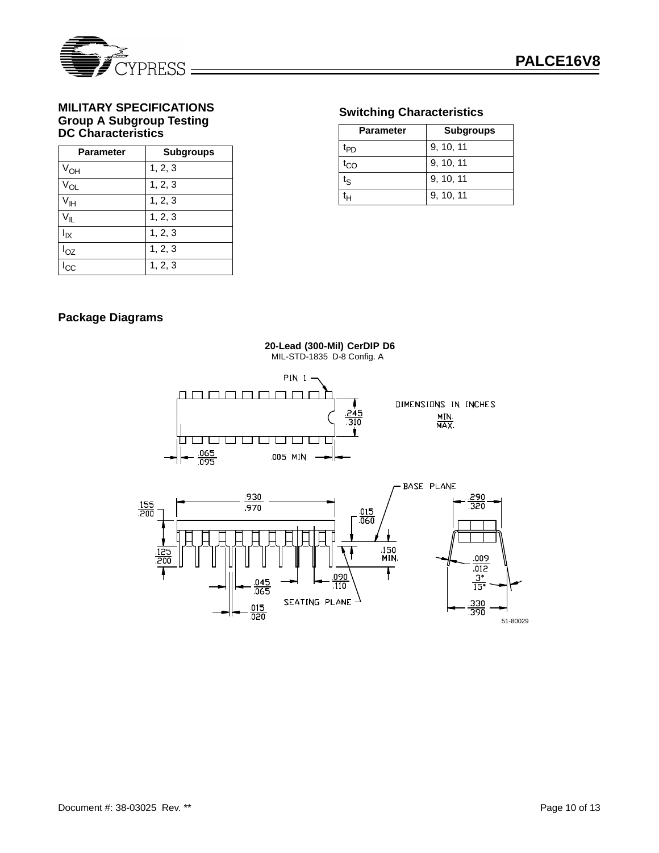

### **MILITARY SPECIFICATIONS Group A Subgroup Testing DC Characteristics**

| <b>Parameter</b> | <b>Subgroups</b> |
|------------------|------------------|
| $V_{OH}$         | 1, 2, 3          |
| $V_{OL}$         | 1, 2, 3          |
| ⊄⊩               | 1, 2, 3          |
| ััแ              | 1, 2, 3          |
| l <sub>ΙΧ</sub>  | 1, 2, 3          |
| $I_{OZ}$         | 1, 2, 3          |
| СC               | 1, 2, 3          |

# **Switching Characteristics**

| <b>Parameter</b> | <b>Subgroups</b> |
|------------------|------------------|
| t <sub>PD</sub>  | 9, 10, 11        |
| .<br>CO          | 9, 10, 11        |
| tς               | 9, 10, 11        |
|                  | 9, 10, 11        |

# **Package Diagrams**

**PIN 1-**<u>nmmmmmm</u> DIMENSIONS IN INCHES  $\frac{245}{310}$  $\frac{MIN}{MAX}$  $\mathbf{r}$ <u>ti taj taj taj pli</u> U | U | U | U | L  $\frac{065}{095}$ .005 MIN. BASE PLANE  $930$ .290  $\frac{155}{200}$  $.970$  $350$  $\frac{.015}{.060}$ 150<br>MIN .009  $012$ Ŧ  $\frac{3}{15}$ 090  $04.$  $\overline{.110}$  $\overline{065}$ SEATING PLANE  $\frac{330}{390}$  $\frac{015}{020}$ 51-80029

**20-Lead (300-Mil) CerDIP D6** MIL-STD-1835 D-8 Config. A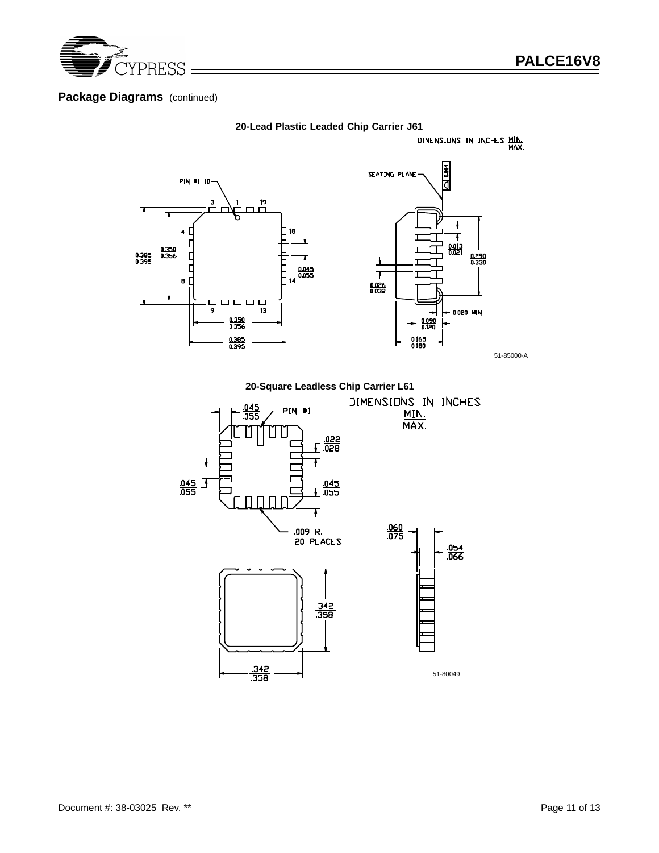

## **Package Diagrams** (continued)



**20-Lead Plastic Leaded Chip Carrier J61**<br>DIMENSIONS IN INCHES MIN.

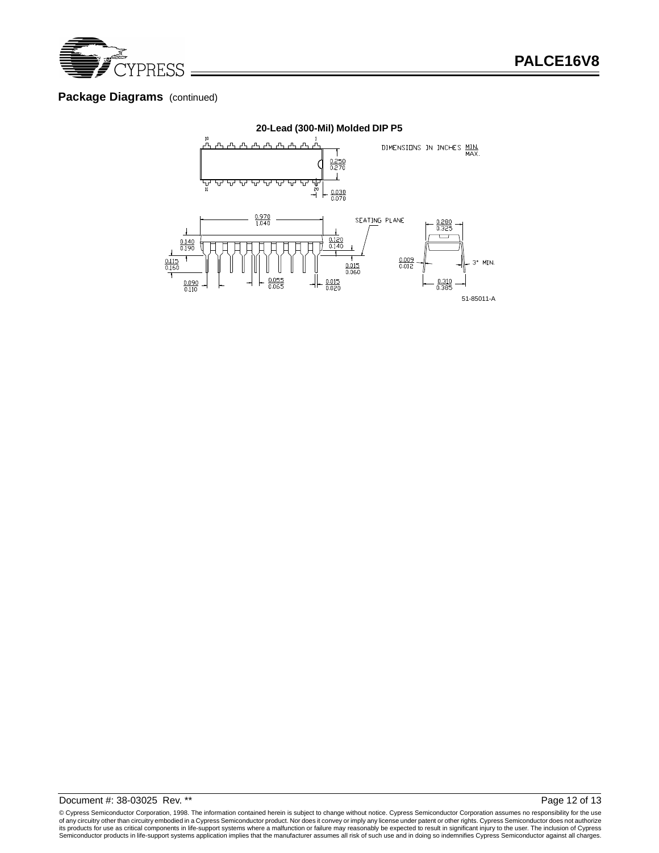

### **Package Diagrams** (continued)



© Cypress Semiconductor Corporation, 1998. The information contained herein is subject to change without notice. Cypress Semiconductor Corporation assumes no responsibility for the use of any circuitry other than circuitry embodied in a Cypress Semiconductor product. Nor does it convey or imply any license under patent or other rights. Cypress Semiconductor does not authorize<br>its products for use as crit